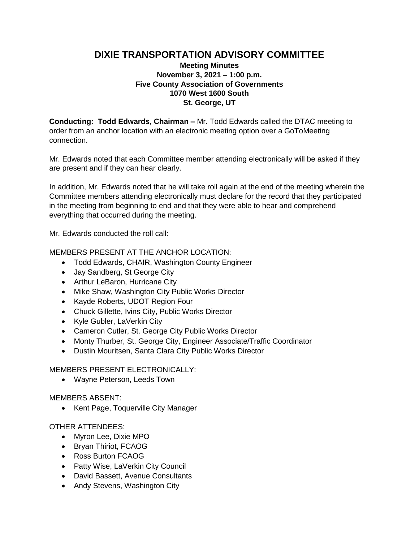# **DIXIE TRANSPORTATION ADVISORY COMMITTEE**

## **Meeting Minutes November 3, 2021 – 1:00 p.m. Five County Association of Governments 1070 West 1600 South St. George, UT**

**Conducting: Todd Edwards, Chairman –** Mr. Todd Edwards called the DTAC meeting to order from an anchor location with an electronic meeting option over a GoToMeeting connection.

Mr. Edwards noted that each Committee member attending electronically will be asked if they are present and if they can hear clearly.

In addition, Mr. Edwards noted that he will take roll again at the end of the meeting wherein the Committee members attending electronically must declare for the record that they participated in the meeting from beginning to end and that they were able to hear and comprehend everything that occurred during the meeting.

Mr. Edwards conducted the roll call:

#### MEMBERS PRESENT AT THE ANCHOR LOCATION:

- Todd Edwards, CHAIR, Washington County Engineer
- Jay Sandberg, St George City
- Arthur LeBaron, Hurricane City
- Mike Shaw, Washington City Public Works Director
- Kayde Roberts, UDOT Region Four
- Chuck Gillette, Ivins City, Public Works Director
- Kyle Gubler, LaVerkin City
- Cameron Cutler, St. George City Public Works Director
- Monty Thurber, St. George City, Engineer Associate/Traffic Coordinator
- Dustin Mouritsen, Santa Clara City Public Works Director

#### MEMBERS PRESENT ELECTRONICALLY:

Wayne Peterson, Leeds Town

#### MEMBERS ABSENT:

• Kent Page, Toquerville City Manager

### OTHER ATTENDEES:

- Myron Lee, Dixie MPO
- Bryan Thiriot, FCAOG
- Ross Burton FCAOG
- Patty Wise, LaVerkin City Council
- David Bassett, Avenue Consultants
- Andy Stevens, Washington City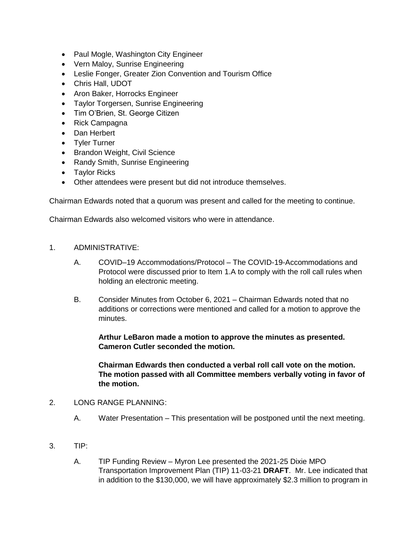- Paul Mogle, Washington City Engineer
- Vern Maloy, Sunrise Engineering
- Leslie Fonger, Greater Zion Convention and Tourism Office
- Chris Hall, UDOT
- Aron Baker, Horrocks Engineer
- Taylor Torgersen, Sunrise Engineering
- Tim O'Brien, St. George Citizen
- Rick Campagna
- Dan Herbert
- Tyler Turner
- Brandon Weight, Civil Science
- Randy Smith, Sunrise Engineering
- Taylor Ricks
- Other attendees were present but did not introduce themselves.

Chairman Edwards noted that a quorum was present and called for the meeting to continue.

Chairman Edwards also welcomed visitors who were in attendance.

- 1. ADMINISTRATIVE:
	- A. COVID–19 Accommodations/Protocol The COVID-19-Accommodations and Protocol were discussed prior to Item 1.A to comply with the roll call rules when holding an electronic meeting.
	- B. Consider Minutes from October 6, 2021 Chairman Edwards noted that no additions or corrections were mentioned and called for a motion to approve the minutes.

**Arthur LeBaron made a motion to approve the minutes as presented. Cameron Cutler seconded the motion.**

**Chairman Edwards then conducted a verbal roll call vote on the motion. The motion passed with all Committee members verbally voting in favor of the motion.**

- 2. LONG RANGE PLANNING:
	- A. Water Presentation This presentation will be postponed until the next meeting.
- 3. TIP:
	- A. TIP Funding Review Myron Lee presented the 2021-25 Dixie MPO Transportation Improvement Plan (TIP) 11-03-21 **DRAFT**. Mr. Lee indicated that in addition to the \$130,000, we will have approximately \$2.3 million to program in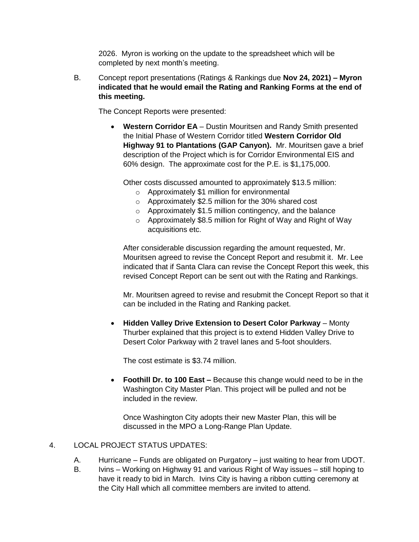2026. Myron is working on the update to the spreadsheet which will be completed by next month's meeting.

B. Concept report presentations (Ratings & Rankings due **Nov 24, 2021) – Myron indicated that he would email the Rating and Ranking Forms at the end of this meeting.** 

The Concept Reports were presented:

 **Western Corridor EA** – Dustin Mouritsen and Randy Smith presented the Initial Phase of Western Corridor titled **Western Corridor Old Highway 91 to Plantations (GAP Canyon).** Mr. Mouritsen gave a brief description of the Project which is for Corridor Environmental EIS and 60% design. The approximate cost for the P.E. is \$1,175,000.

Other costs discussed amounted to approximately \$13.5 million:

- o Approximately \$1 million for environmental
- o Approximately \$2.5 million for the 30% shared cost
- o Approximately \$1.5 million contingency, and the balance
- o Approximately \$8.5 million for Right of Way and Right of Way acquisitions etc.

After considerable discussion regarding the amount requested, Mr. Mouritsen agreed to revise the Concept Report and resubmit it. Mr. Lee indicated that if Santa Clara can revise the Concept Report this week, this revised Concept Report can be sent out with the Rating and Rankings.

Mr. Mouritsen agreed to revise and resubmit the Concept Report so that it can be included in the Rating and Ranking packet.

 **Hidden Valley Drive Extension to Desert Color Parkway** – Monty Thurber explained that this project is to extend Hidden Valley Drive to Desert Color Parkway with 2 travel lanes and 5-foot shoulders.

The cost estimate is \$3.74 million.

 **Foothill Dr. to 100 East –** Because this change would need to be in the Washington City Master Plan. This project will be pulled and not be included in the review.

Once Washington City adopts their new Master Plan, this will be discussed in the MPO a Long-Range Plan Update.

## 4. LOCAL PROJECT STATUS UPDATES:

- A. Hurricane Funds are obligated on Purgatory just waiting to hear from UDOT.
- B. Ivins Working on Highway 91 and various Right of Way issues still hoping to have it ready to bid in March. Ivins City is having a ribbon cutting ceremony at the City Hall which all committee members are invited to attend.